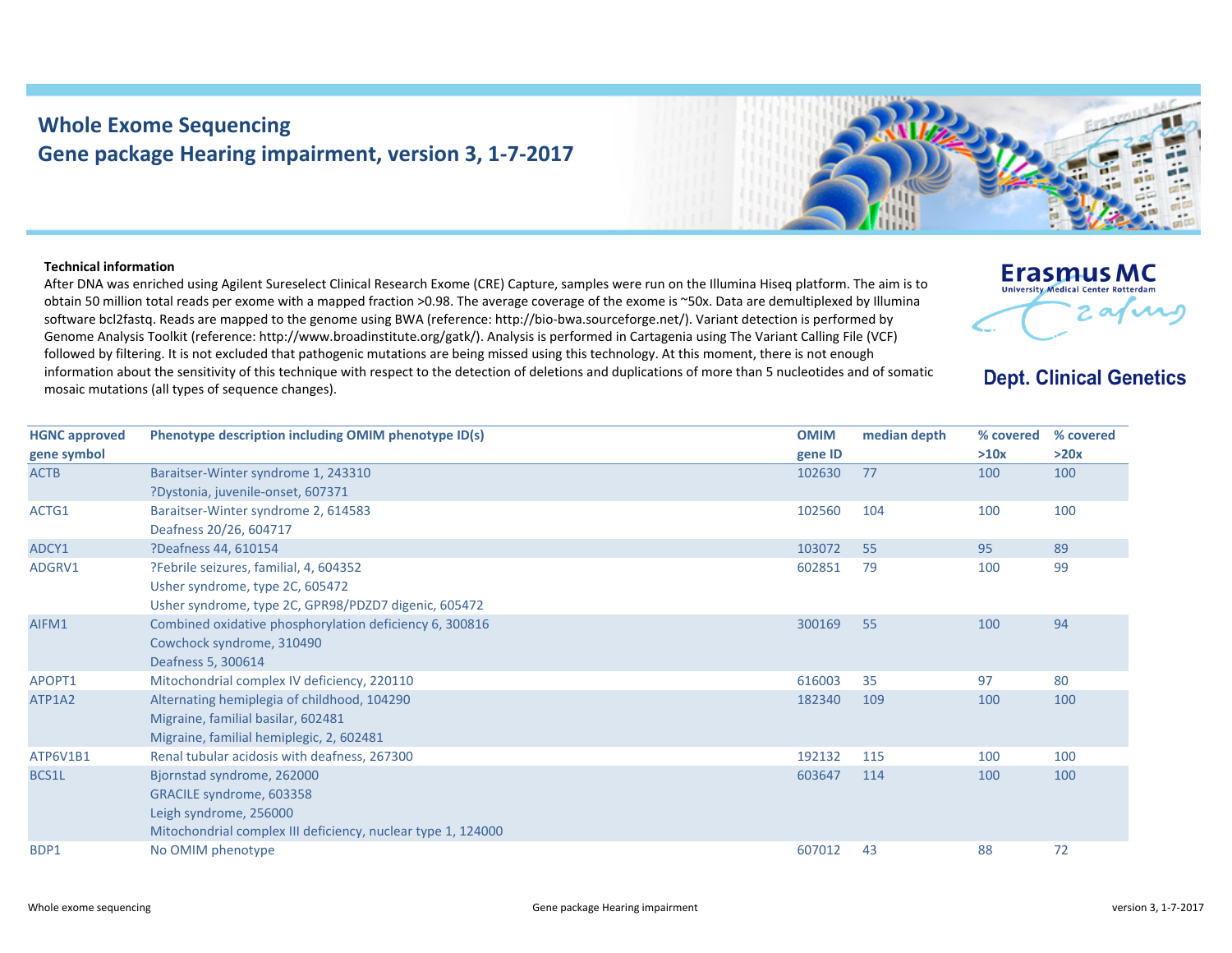## **Whole Exome Sequencing Gene package Hearing impairment, version 3, 1‐7‐2017**



After DNA was enriched using Agilent Sureselect Clinical Research Exome (CRE) Capture, samples were run on the Illumina Hiseq platform. The aim is to obtain 50 million total reads per exome with <sup>a</sup> mapped fraction >0.98. The average coverage of the exome is ~50x. Data are demultiplexed by Illumina software bcl2fastq. Reads are mapped to the genome using BWA (reference: http://bio‐bwa.sourceforge.net/). Variant detection is performed by Genome Analysis Toolkit (reference: http://www.broadinstitute.org/gatk/). Analysis is performed in Cartagenia using The Variant Calling File (VCF) followed by filtering. It is not excluded that pathogenic mutations are being missed using this technology. At this moment, there is not enough information about the sensitivity of this technique with respect to the detection of deletions and duplications of more than 5 nucleotides and of somatic mosaic mutations (all types of sequence changes).



## **Erasmus MC** University Medical Center Rotterdam 2 avril

## **Dept. Clinical Genetics**

| <b>HGNC approved</b> | Phenotype description including OMIM phenotype ID(s)         | <b>OMIM</b> | median depth | % covered | % covered |
|----------------------|--------------------------------------------------------------|-------------|--------------|-----------|-----------|
| gene symbol          |                                                              | gene ID     |              | >10x      | >20x      |
| <b>ACTB</b>          | Baraitser-Winter syndrome 1, 243310                          | 102630      | 77           | 100       | 100       |
|                      | ?Dystonia, juvenile-onset, 607371                            |             |              |           |           |
| ACTG1                | Baraitser-Winter syndrome 2, 614583                          | 102560      | 104          | 100       | 100       |
|                      | Deafness 20/26, 604717                                       |             |              |           |           |
| ADCY1                | ?Deafness 44, 610154                                         | 103072      | 55           | 95        | 89        |
| ADGRV1               | ?Febrile seizures, familial, 4, 604352                       | 602851      | 79           | 100       | 99        |
|                      | Usher syndrome, type 2C, 605472                              |             |              |           |           |
|                      | Usher syndrome, type 2C, GPR98/PDZD7 digenic, 605472         |             |              |           |           |
| AIFM1                | Combined oxidative phosphorylation deficiency 6, 300816      | 300169      | 55           | 100       | 94        |
|                      | Cowchock syndrome, 310490                                    |             |              |           |           |
|                      | Deafness 5, 300614                                           |             |              |           |           |
| APOPT1               | Mitochondrial complex IV deficiency, 220110                  | 616003      | 35           | 97        | 80        |
| ATP1A2               | Alternating hemiplegia of childhood, 104290                  | 182340      | 109          | 100       | 100       |
|                      | Migraine, familial basilar, 602481                           |             |              |           |           |
|                      | Migraine, familial hemiplegic, 2, 602481                     |             |              |           |           |
| ATP6V1B1             | Renal tubular acidosis with deafness, 267300                 | 192132      | 115          | 100       | 100       |
| BCS1L                | Bjornstad syndrome, 262000                                   | 603647      | 114          | 100       | 100       |
|                      | GRACILE syndrome, 603358                                     |             |              |           |           |
|                      | Leigh syndrome, 256000                                       |             |              |           |           |
|                      | Mitochondrial complex III deficiency, nuclear type 1, 124000 |             |              |           |           |
| BDP1                 | No OMIM phenotype                                            | 607012      | 43           | 88        | 72        |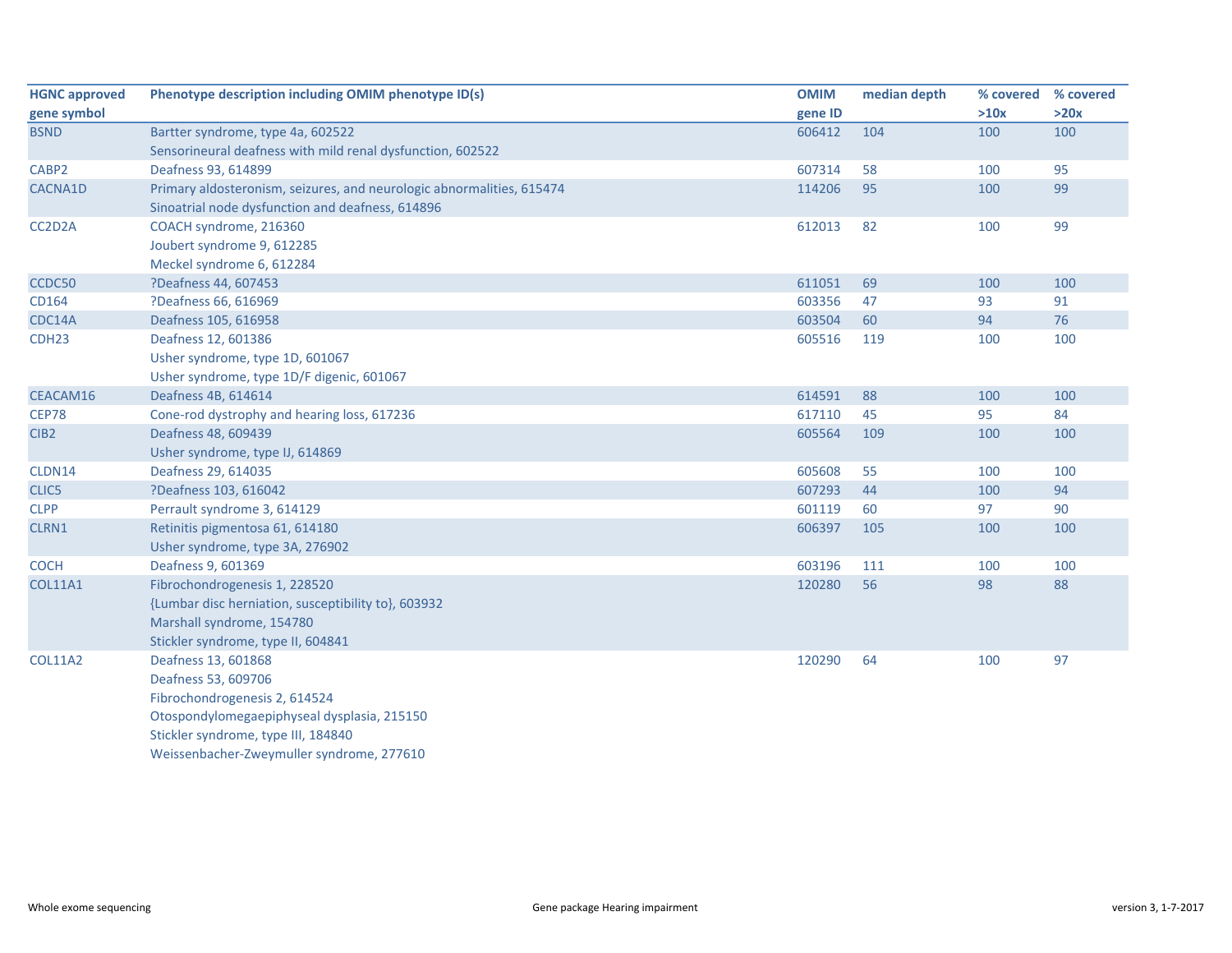| <b>HGNC approved</b> | Phenotype description including OMIM phenotype ID(s)                  | <b>OMIM</b> | median depth | % covered | % covered |
|----------------------|-----------------------------------------------------------------------|-------------|--------------|-----------|-----------|
| gene symbol          |                                                                       | gene ID     |              | >10x      | >20x      |
| <b>BSND</b>          | Bartter syndrome, type 4a, 602522                                     | 606412      | 104          | 100       | 100       |
|                      | Sensorineural deafness with mild renal dysfunction, 602522            |             |              |           |           |
| CABP2                | Deafness 93, 614899                                                   | 607314      | 58           | 100       | 95        |
| CACNA1D              | Primary aldosteronism, seizures, and neurologic abnormalities, 615474 | 114206      | 95           | 100       | 99        |
|                      | Sinoatrial node dysfunction and deafness, 614896                      |             |              |           |           |
| CC2D2A               | COACH syndrome, 216360                                                | 612013      | 82           | 100       | 99        |
|                      | Joubert syndrome 9, 612285                                            |             |              |           |           |
|                      | Meckel syndrome 6, 612284                                             |             |              |           |           |
| CCDC50               | ?Deafness 44, 607453                                                  | 611051      | 69           | 100       | 100       |
| CD164                | ?Deafness 66, 616969                                                  | 603356      | 47           | 93        | 91        |
| CDC14A               | Deafness 105, 616958                                                  | 603504      | 60           | 94        | 76        |
| CDH <sub>23</sub>    | Deafness 12, 601386                                                   | 605516      | 119          | 100       | 100       |
|                      | Usher syndrome, type 1D, 601067                                       |             |              |           |           |
|                      | Usher syndrome, type 1D/F digenic, 601067                             |             |              |           |           |
| CEACAM16             | Deafness 4B, 614614                                                   | 614591      | 88           | 100       | 100       |
| <b>CEP78</b>         | Cone-rod dystrophy and hearing loss, 617236                           | 617110      | 45           | 95        | 84        |
| CIB <sub>2</sub>     | Deafness 48, 609439                                                   | 605564      | 109          | 100       | 100       |
|                      | Usher syndrome, type IJ, 614869                                       |             |              |           |           |
| CLDN14               | Deafness 29, 614035                                                   | 605608      | 55           | 100       | 100       |
| CLIC5                | ?Deafness 103, 616042                                                 | 607293      | 44           | 100       | 94        |
| <b>CLPP</b>          | Perrault syndrome 3, 614129                                           | 601119      | 60           | 97        | 90        |
| CLRN1                | Retinitis pigmentosa 61, 614180                                       | 606397      | 105          | 100       | 100       |
|                      | Usher syndrome, type 3A, 276902                                       |             |              |           |           |
| <b>COCH</b>          | Deafness 9, 601369                                                    | 603196      | 111          | 100       | 100       |
| <b>COL11A1</b>       | Fibrochondrogenesis 1, 228520                                         | 120280      | 56           | 98        | 88        |
|                      | {Lumbar disc herniation, susceptibility to}, 603932                   |             |              |           |           |
|                      | Marshall syndrome, 154780                                             |             |              |           |           |
|                      | Stickler syndrome, type II, 604841                                    |             |              |           |           |
| <b>COL11A2</b>       | Deafness 13, 601868                                                   | 120290      | 64           | 100       | 97        |
|                      | Deafness 53, 609706                                                   |             |              |           |           |
|                      | Fibrochondrogenesis 2, 614524                                         |             |              |           |           |
|                      | Otospondylomegaepiphyseal dysplasia, 215150                           |             |              |           |           |
|                      | Stickler syndrome, type III, 184840                                   |             |              |           |           |
|                      | Weissenbacher-Zweymuller syndrome, 277610                             |             |              |           |           |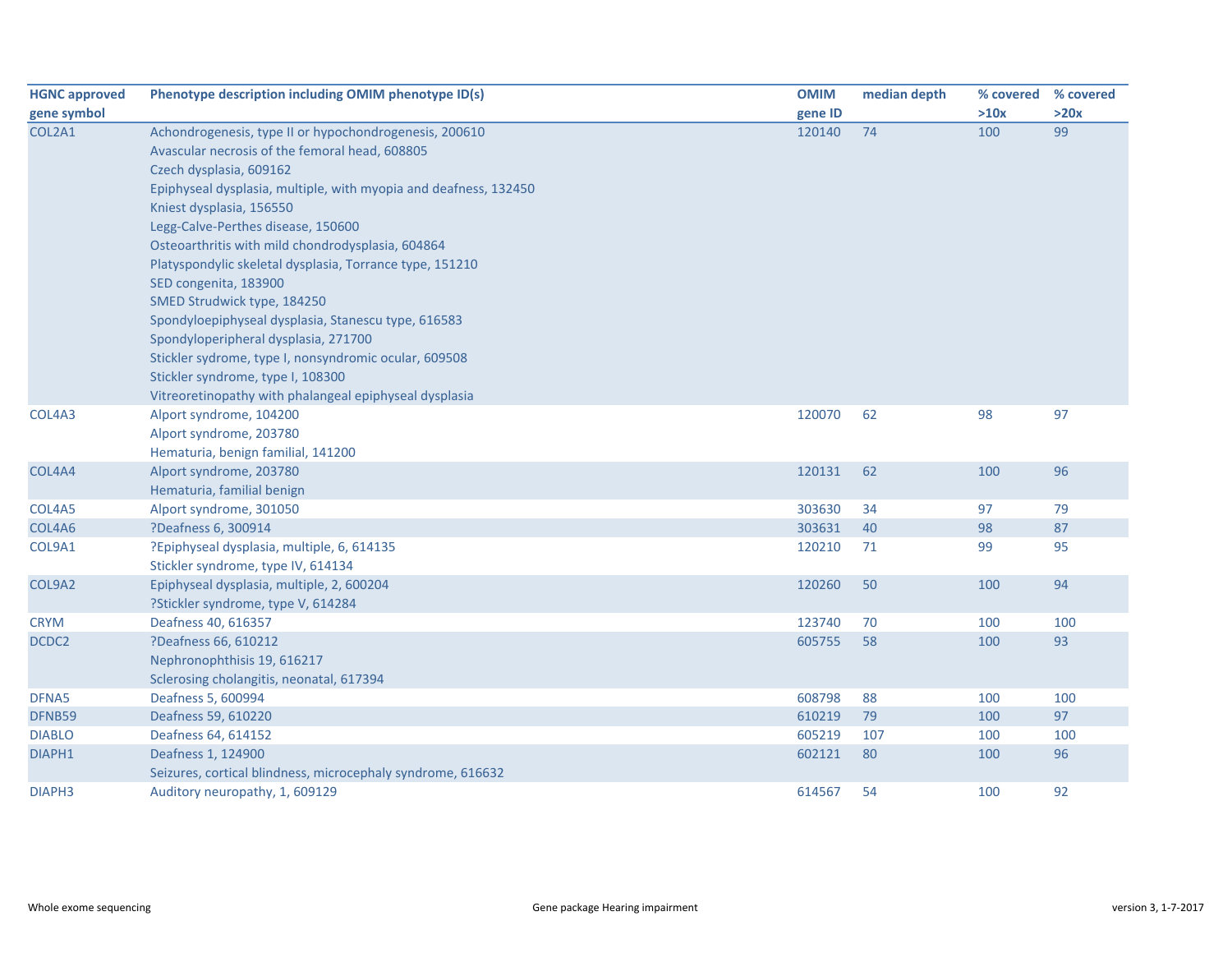| <b>HGNC approved</b> | Phenotype description including OMIM phenotype ID(s)             | <b>OMIM</b> | median depth | % covered | % covered |
|----------------------|------------------------------------------------------------------|-------------|--------------|-----------|-----------|
| gene symbol          |                                                                  | gene ID     |              | >10x      | >20x      |
| COL2A1               | Achondrogenesis, type II or hypochondrogenesis, 200610           | 120140      | 74           | 100       | 99        |
|                      | Avascular necrosis of the femoral head, 608805                   |             |              |           |           |
|                      | Czech dysplasia, 609162                                          |             |              |           |           |
|                      | Epiphyseal dysplasia, multiple, with myopia and deafness, 132450 |             |              |           |           |
|                      | Kniest dysplasia, 156550                                         |             |              |           |           |
|                      | Legg-Calve-Perthes disease, 150600                               |             |              |           |           |
|                      | Osteoarthritis with mild chondrodysplasia, 604864                |             |              |           |           |
|                      | Platyspondylic skeletal dysplasia, Torrance type, 151210         |             |              |           |           |
|                      | SED congenita, 183900                                            |             |              |           |           |
|                      | SMED Strudwick type, 184250                                      |             |              |           |           |
|                      | Spondyloepiphyseal dysplasia, Stanescu type, 616583              |             |              |           |           |
|                      | Spondyloperipheral dysplasia, 271700                             |             |              |           |           |
|                      | Stickler sydrome, type I, nonsyndromic ocular, 609508            |             |              |           |           |
|                      | Stickler syndrome, type I, 108300                                |             |              |           |           |
|                      | Vitreoretinopathy with phalangeal epiphyseal dysplasia           |             |              |           |           |
| COL4A3               | Alport syndrome, 104200                                          | 120070      | 62           | 98        | 97        |
|                      | Alport syndrome, 203780                                          |             |              |           |           |
|                      | Hematuria, benign familial, 141200                               |             |              |           |           |
| COL4A4               | Alport syndrome, 203780                                          | 120131      | 62           | 100       | 96        |
|                      | Hematuria, familial benign                                       |             |              |           |           |
| COL4A5               | Alport syndrome, 301050                                          | 303630      | 34           | 97        | 79        |
| COL4A6               | ?Deafness 6, 300914                                              | 303631      | 40           | 98        | 87        |
| COL9A1               | ?Epiphyseal dysplasia, multiple, 6, 614135                       | 120210      | 71           | 99        | 95        |
|                      | Stickler syndrome, type IV, 614134                               |             |              |           |           |
| COL9A2               | Epiphyseal dysplasia, multiple, 2, 600204                        | 120260      | 50           | 100       | 94        |
|                      | ?Stickler syndrome, type V, 614284                               |             |              |           |           |
| <b>CRYM</b>          | Deafness 40, 616357                                              | 123740      | 70           | 100       | 100       |
| DCDC2                | ?Deafness 66, 610212                                             | 605755      | 58           | 100       | 93        |
|                      | Nephronophthisis 19, 616217                                      |             |              |           |           |
|                      | Sclerosing cholangitis, neonatal, 617394                         |             |              |           |           |
| DFNA5                | Deafness 5, 600994                                               | 608798      | 88           | 100       | 100       |
| DFNB59               | Deafness 59, 610220                                              | 610219      | 79           | 100       | 97        |
| <b>DIABLO</b>        | Deafness 64, 614152                                              | 605219      | 107          | 100       | 100       |
| DIAPH1               | Deafness 1, 124900                                               | 602121      | 80           | 100       | 96        |
|                      | Seizures, cortical blindness, microcephaly syndrome, 616632      |             |              |           |           |
| DIAPH3               | Auditory neuropathy, 1, 609129                                   | 614567      | 54           | 100       | 92        |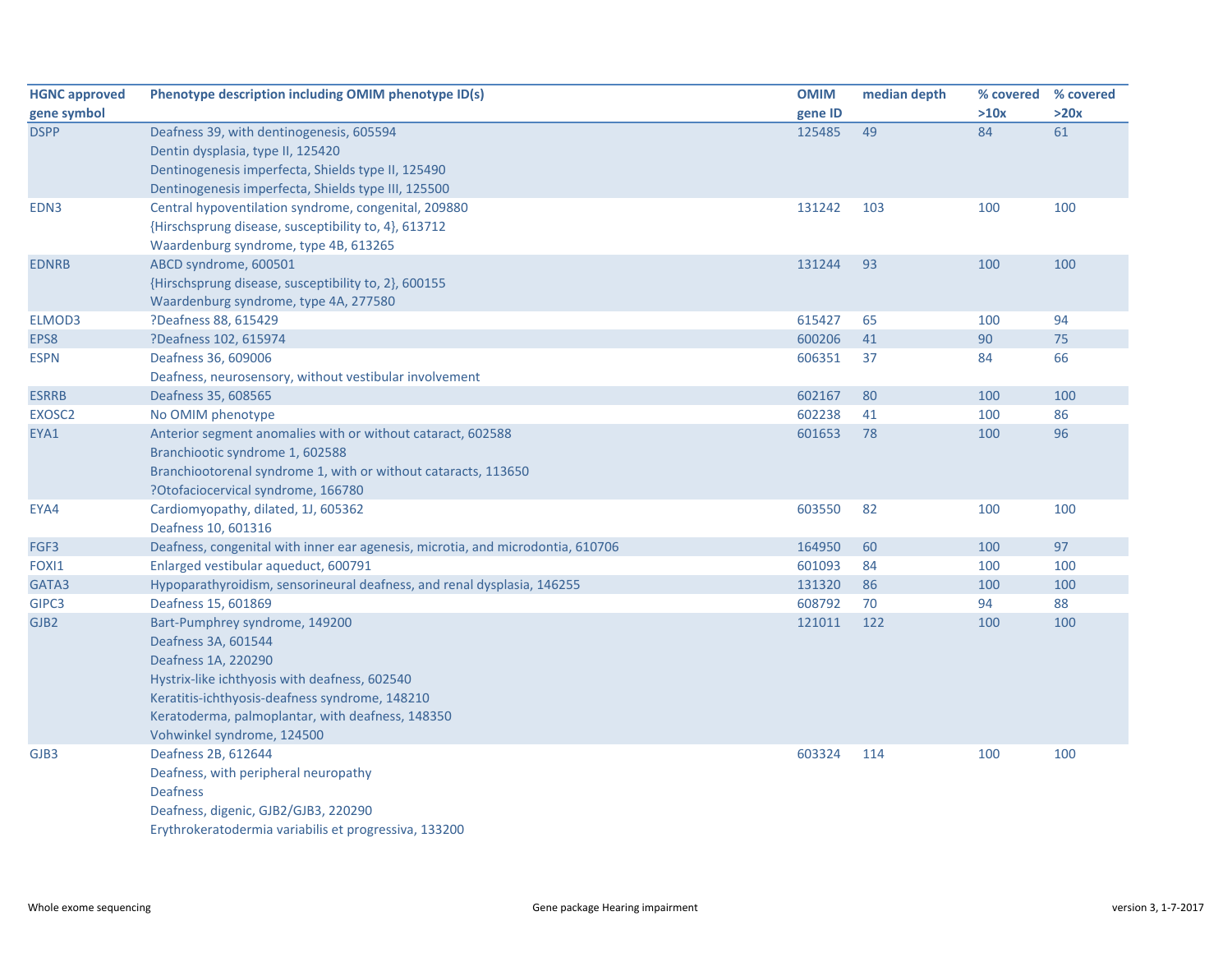| <b>HGNC approved</b> | Phenotype description including OMIM phenotype ID(s)                            | <b>OMIM</b> | median depth | % covered % covered |      |
|----------------------|---------------------------------------------------------------------------------|-------------|--------------|---------------------|------|
| gene symbol          |                                                                                 | gene ID     |              | >10x                | >20x |
| <b>DSPP</b>          | Deafness 39, with dentinogenesis, 605594                                        | 125485      | 49           | 84                  | 61   |
|                      | Dentin dysplasia, type II, 125420                                               |             |              |                     |      |
|                      | Dentinogenesis imperfecta, Shields type II, 125490                              |             |              |                     |      |
|                      | Dentinogenesis imperfecta, Shields type III, 125500                             |             |              |                     |      |
| EDN3                 | Central hypoventilation syndrome, congenital, 209880                            | 131242      | 103          | 100                 | 100  |
|                      | {Hirschsprung disease, susceptibility to, 4}, 613712                            |             |              |                     |      |
|                      | Waardenburg syndrome, type 4B, 613265                                           |             |              |                     |      |
| <b>EDNRB</b>         | ABCD syndrome, 600501                                                           | 131244      | 93           | 100                 | 100  |
|                      | {Hirschsprung disease, susceptibility to, 2}, 600155                            |             |              |                     |      |
|                      | Waardenburg syndrome, type 4A, 277580                                           |             |              |                     |      |
| ELMOD3               | ?Deafness 88, 615429                                                            | 615427      | 65           | 100                 | 94   |
| EPS8                 | ?Deafness 102, 615974                                                           | 600206      | 41           | 90                  | 75   |
| <b>ESPN</b>          | Deafness 36, 609006                                                             | 606351      | 37           | 84                  | 66   |
|                      | Deafness, neurosensory, without vestibular involvement                          |             |              |                     |      |
| <b>ESRRB</b>         | Deafness 35, 608565                                                             | 602167      | 80           | 100                 | 100  |
| EXOSC2               | No OMIM phenotype                                                               | 602238      | 41           | 100                 | 86   |
| EYA1                 | Anterior segment anomalies with or without cataract, 602588                     | 601653      | 78           | 100                 | 96   |
|                      | Branchiootic syndrome 1, 602588                                                 |             |              |                     |      |
|                      | Branchiootorenal syndrome 1, with or without cataracts, 113650                  |             |              |                     |      |
|                      | ?Otofaciocervical syndrome, 166780                                              |             |              |                     |      |
| EYA4                 | Cardiomyopathy, dilated, 1J, 605362                                             | 603550      | 82           | 100                 | 100  |
|                      | Deafness 10, 601316                                                             |             |              |                     |      |
| FGF3                 | Deafness, congenital with inner ear agenesis, microtia, and microdontia, 610706 | 164950      | 60           | 100                 | 97   |
| FOXI1                | Enlarged vestibular aqueduct, 600791                                            | 601093      | 84           | 100                 | 100  |
| GATA3                | Hypoparathyroidism, sensorineural deafness, and renal dysplasia, 146255         | 131320      | 86           | 100                 | 100  |
| GIPC3                | Deafness 15, 601869                                                             | 608792      | 70           | 94                  | 88   |
| GJB <sub>2</sub>     | Bart-Pumphrey syndrome, 149200                                                  | 121011      | 122          | 100                 | 100  |
|                      | Deafness 3A, 601544                                                             |             |              |                     |      |
|                      | Deafness 1A, 220290                                                             |             |              |                     |      |
|                      | Hystrix-like ichthyosis with deafness, 602540                                   |             |              |                     |      |
|                      | Keratitis-ichthyosis-deafness syndrome, 148210                                  |             |              |                     |      |
|                      | Keratoderma, palmoplantar, with deafness, 148350                                |             |              |                     |      |
|                      | Vohwinkel syndrome, 124500                                                      |             |              |                     |      |
| GJB3                 | Deafness 2B, 612644                                                             | 603324      | 114          | 100                 | 100  |
|                      | Deafness, with peripheral neuropathy                                            |             |              |                     |      |
|                      | <b>Deafness</b>                                                                 |             |              |                     |      |
|                      | Deafness, digenic, GJB2/GJB3, 220290                                            |             |              |                     |      |
|                      | Erythrokeratodermia variabilis et progressiva, 133200                           |             |              |                     |      |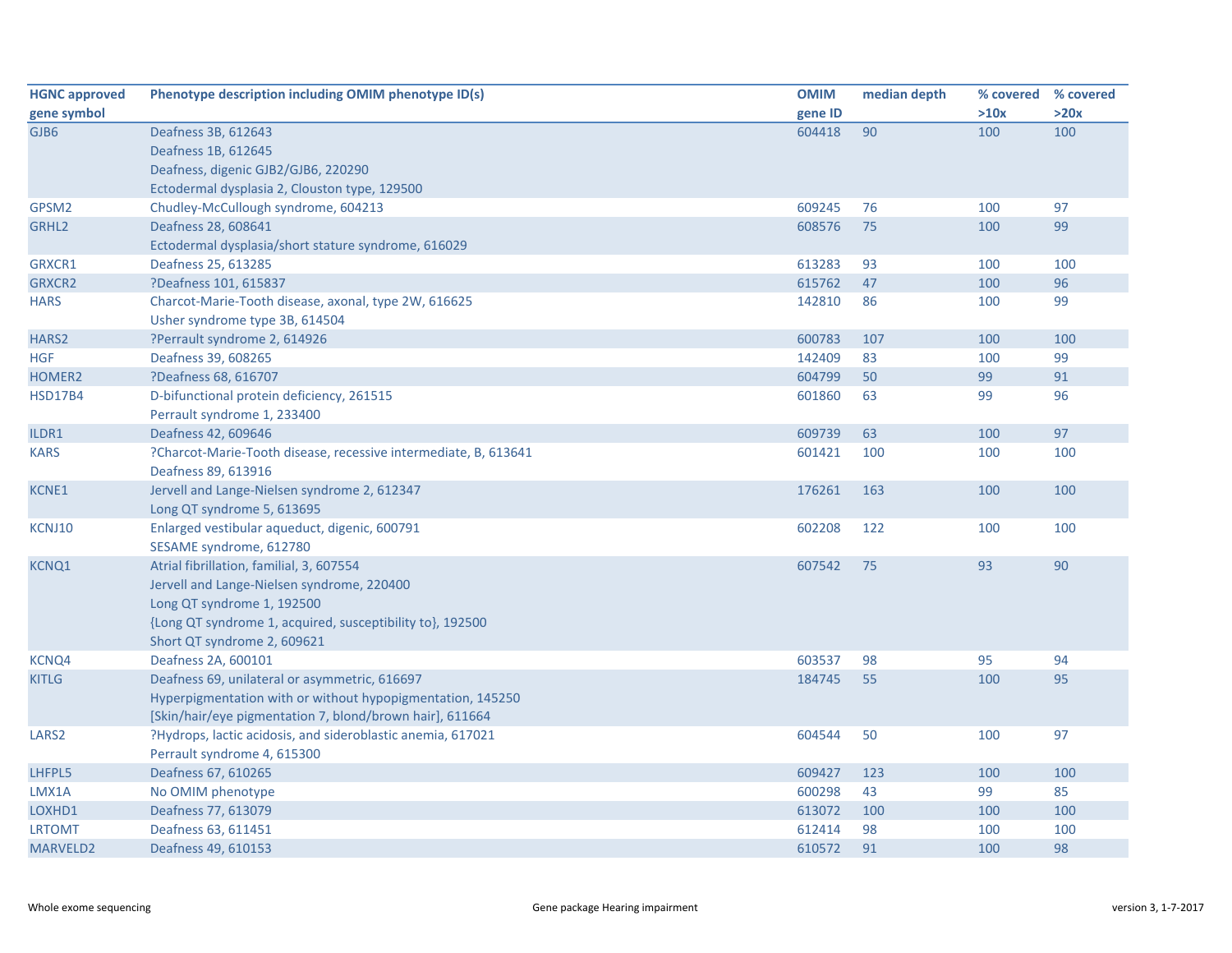| <b>HGNC approved</b> | Phenotype description including OMIM phenotype ID(s)            | <b>OMIM</b> | median depth |      | % covered % covered |
|----------------------|-----------------------------------------------------------------|-------------|--------------|------|---------------------|
| gene symbol          |                                                                 | gene ID     |              | >10x | >20x                |
| GJB6                 | Deafness 3B, 612643                                             | 604418      | 90           | 100  | 100                 |
|                      | Deafness 1B, 612645                                             |             |              |      |                     |
|                      | Deafness, digenic GJB2/GJB6, 220290                             |             |              |      |                     |
|                      | Ectodermal dysplasia 2, Clouston type, 129500                   |             |              |      |                     |
| GPSM2                | Chudley-McCullough syndrome, 604213                             | 609245      | 76           | 100  | 97                  |
| GRHL <sub>2</sub>    | Deafness 28, 608641                                             | 608576      | 75           | 100  | 99                  |
|                      | Ectodermal dysplasia/short stature syndrome, 616029             |             |              |      |                     |
| GRXCR1               | Deafness 25, 613285                                             | 613283      | 93           | 100  | 100                 |
| <b>GRXCR2</b>        | ?Deafness 101, 615837                                           | 615762      | 47           | 100  | 96                  |
| <b>HARS</b>          | Charcot-Marie-Tooth disease, axonal, type 2W, 616625            | 142810      | 86           | 100  | 99                  |
|                      | Usher syndrome type 3B, 614504                                  |             |              |      |                     |
| HARS2                | ?Perrault syndrome 2, 614926                                    | 600783      | 107          | 100  | 100                 |
| <b>HGF</b>           | Deafness 39, 608265                                             | 142409      | 83           | 100  | 99                  |
| HOMER2               | ?Deafness 68, 616707                                            | 604799      | 50           | 99   | 91                  |
| <b>HSD17B4</b>       | D-bifunctional protein deficiency, 261515                       | 601860      | 63           | 99   | 96                  |
|                      | Perrault syndrome 1, 233400                                     |             |              |      |                     |
| ILDR1                | Deafness 42, 609646                                             | 609739      | 63           | 100  | 97                  |
| <b>KARS</b>          | ?Charcot-Marie-Tooth disease, recessive intermediate, B, 613641 | 601421      | 100          | 100  | 100                 |
|                      | Deafness 89, 613916                                             |             |              |      |                     |
| <b>KCNE1</b>         | Jervell and Lange-Nielsen syndrome 2, 612347                    | 176261      | 163          | 100  | 100                 |
|                      | Long QT syndrome 5, 613695                                      |             |              |      |                     |
| KCNJ10               | Enlarged vestibular aqueduct, digenic, 600791                   | 602208      | 122          | 100  | 100                 |
|                      | SESAME syndrome, 612780                                         |             |              |      |                     |
| <b>KCNQ1</b>         | Atrial fibrillation, familial, 3, 607554                        | 607542      | 75           | 93   | 90                  |
|                      | Jervell and Lange-Nielsen syndrome, 220400                      |             |              |      |                     |
|                      | Long QT syndrome 1, 192500                                      |             |              |      |                     |
|                      | {Long QT syndrome 1, acquired, susceptibility to}, 192500       |             |              |      |                     |
|                      | Short QT syndrome 2, 609621                                     |             |              |      |                     |
| KCNQ4                | Deafness 2A, 600101                                             | 603537      | 98           | 95   | 94                  |
| <b>KITLG</b>         | Deafness 69, unilateral or asymmetric, 616697                   | 184745      | 55           | 100  | 95                  |
|                      | Hyperpigmentation with or without hypopigmentation, 145250      |             |              |      |                     |
|                      | [Skin/hair/eye pigmentation 7, blond/brown hair], 611664        |             |              |      |                     |
| LARS <sub>2</sub>    | ?Hydrops, lactic acidosis, and sideroblastic anemia, 617021     | 604544      | 50           | 100  | 97                  |
|                      | Perrault syndrome 4, 615300                                     |             |              |      |                     |
| LHFPL5               | Deafness 67, 610265                                             | 609427      | 123          | 100  | 100                 |
| LMX1A                | No OMIM phenotype                                               | 600298      | 43           | 99   | 85                  |
| LOXHD1               | Deafness 77, 613079                                             | 613072      | 100          | 100  | 100                 |
| <b>LRTOMT</b>        | Deafness 63, 611451                                             | 612414      | 98           | 100  | 100                 |
| <b>MARVELD2</b>      | Deafness 49, 610153                                             | 610572      | 91           | 100  | 98                  |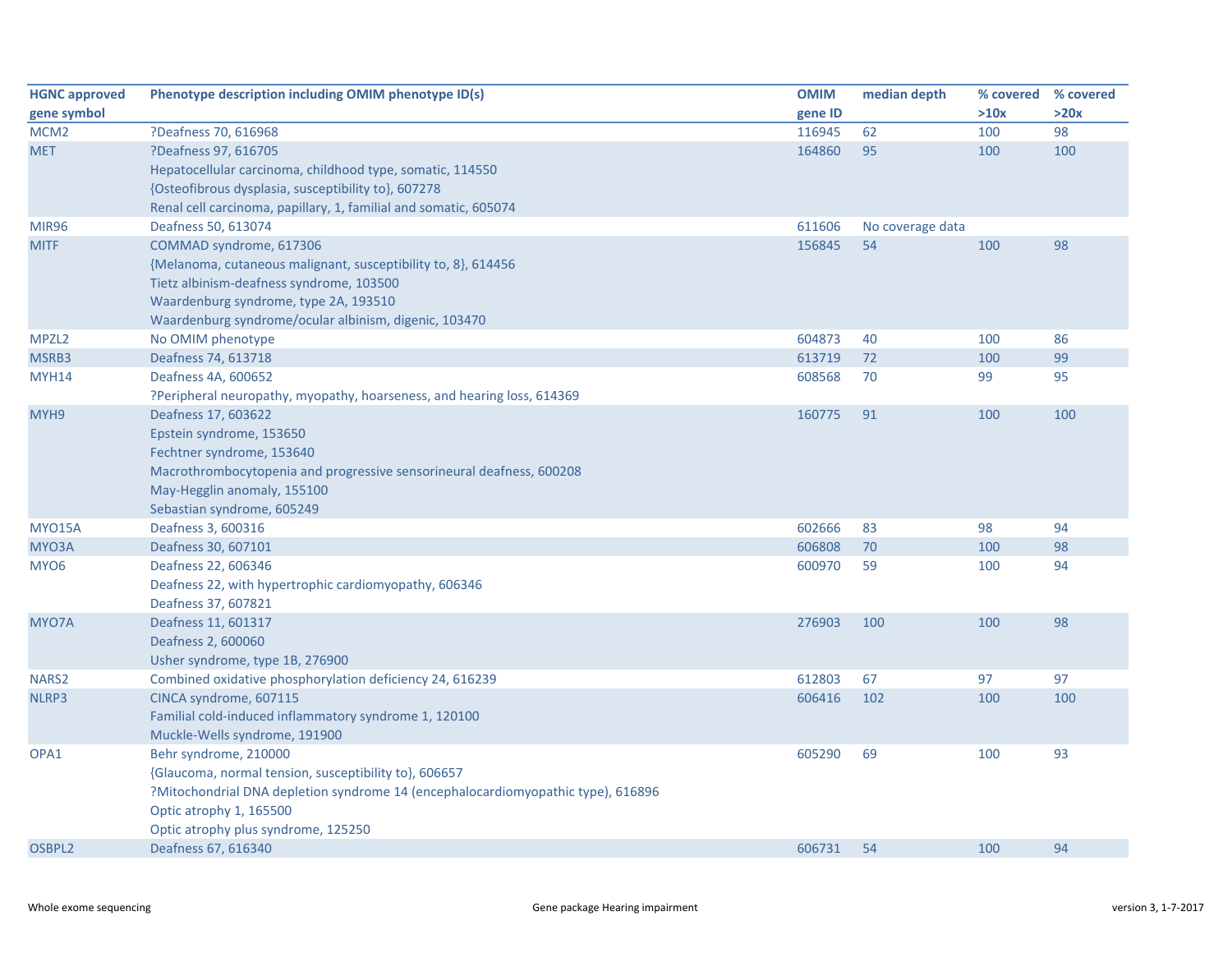| <b>HGNC approved</b> | Phenotype description including OMIM phenotype ID(s)                             | <b>OMIM</b> | median depth     | % covered | % covered |
|----------------------|----------------------------------------------------------------------------------|-------------|------------------|-----------|-----------|
| gene symbol          |                                                                                  | gene ID     |                  | >10x      | >20x      |
| MCM <sub>2</sub>     | ?Deafness 70, 616968                                                             | 116945      | 62               | 100       | 98        |
| <b>MET</b>           | ?Deafness 97, 616705                                                             | 164860      | 95               | 100       | 100       |
|                      | Hepatocellular carcinoma, childhood type, somatic, 114550                        |             |                  |           |           |
|                      | {Osteofibrous dysplasia, susceptibility to}, 607278                              |             |                  |           |           |
|                      | Renal cell carcinoma, papillary, 1, familial and somatic, 605074                 |             |                  |           |           |
| <b>MIR96</b>         | Deafness 50, 613074                                                              | 611606      | No coverage data |           |           |
| <b>MITF</b>          | COMMAD syndrome, 617306                                                          | 156845      | 54               | 100       | 98        |
|                      | {Melanoma, cutaneous malignant, susceptibility to, 8}, 614456                    |             |                  |           |           |
|                      | Tietz albinism-deafness syndrome, 103500                                         |             |                  |           |           |
|                      | Waardenburg syndrome, type 2A, 193510                                            |             |                  |           |           |
|                      | Waardenburg syndrome/ocular albinism, digenic, 103470                            |             |                  |           |           |
| MPZL <sub>2</sub>    | No OMIM phenotype                                                                | 604873      | 40               | 100       | 86        |
| MSRB3                | Deafness 74, 613718                                                              | 613719      | 72               | 100       | 99        |
| <b>MYH14</b>         | Deafness 4A, 600652                                                              | 608568      | 70               | 99        | 95        |
|                      | ?Peripheral neuropathy, myopathy, hoarseness, and hearing loss, 614369           |             |                  |           |           |
| MYH9                 | Deafness 17, 603622                                                              | 160775      | 91               | 100       | 100       |
|                      | Epstein syndrome, 153650                                                         |             |                  |           |           |
|                      | Fechtner syndrome, 153640                                                        |             |                  |           |           |
|                      | Macrothrombocytopenia and progressive sensorineural deafness, 600208             |             |                  |           |           |
|                      | May-Hegglin anomaly, 155100                                                      |             |                  |           |           |
|                      | Sebastian syndrome, 605249                                                       |             |                  |           |           |
| <b>MYO15A</b>        | Deafness 3, 600316                                                               | 602666      | 83               | 98        | 94        |
| MYO3A                | Deafness 30, 607101                                                              | 606808      | 70               | 100       | 98        |
| MYO <sub>6</sub>     | Deafness 22, 606346                                                              | 600970      | 59               | 100       | 94        |
|                      | Deafness 22, with hypertrophic cardiomyopathy, 606346                            |             |                  |           |           |
|                      | Deafness 37, 607821                                                              |             |                  |           |           |
| MYO7A                | Deafness 11, 601317                                                              | 276903      | 100              | 100       | 98        |
|                      | Deafness 2, 600060                                                               |             |                  |           |           |
|                      | Usher syndrome, type 1B, 276900                                                  |             |                  |           |           |
| NARS <sub>2</sub>    | Combined oxidative phosphorylation deficiency 24, 616239                         | 612803      | 67               | 97        | 97        |
| NLRP3                | CINCA syndrome, 607115                                                           | 606416      | 102              | 100       | 100       |
|                      | Familial cold-induced inflammatory syndrome 1, 120100                            |             |                  |           |           |
|                      | Muckle-Wells syndrome, 191900                                                    |             |                  |           |           |
| OPA1                 | Behr syndrome, 210000                                                            | 605290      | 69               | 100       | 93        |
|                      | {Glaucoma, normal tension, susceptibility to}, 606657                            |             |                  |           |           |
|                      | ?Mitochondrial DNA depletion syndrome 14 (encephalocardiomyopathic type), 616896 |             |                  |           |           |
|                      | Optic atrophy 1, 165500                                                          |             |                  |           |           |
|                      | Optic atrophy plus syndrome, 125250                                              |             |                  |           |           |
| OSBPL2               | Deafness 67, 616340                                                              | 606731      | 54               | 100       | 94        |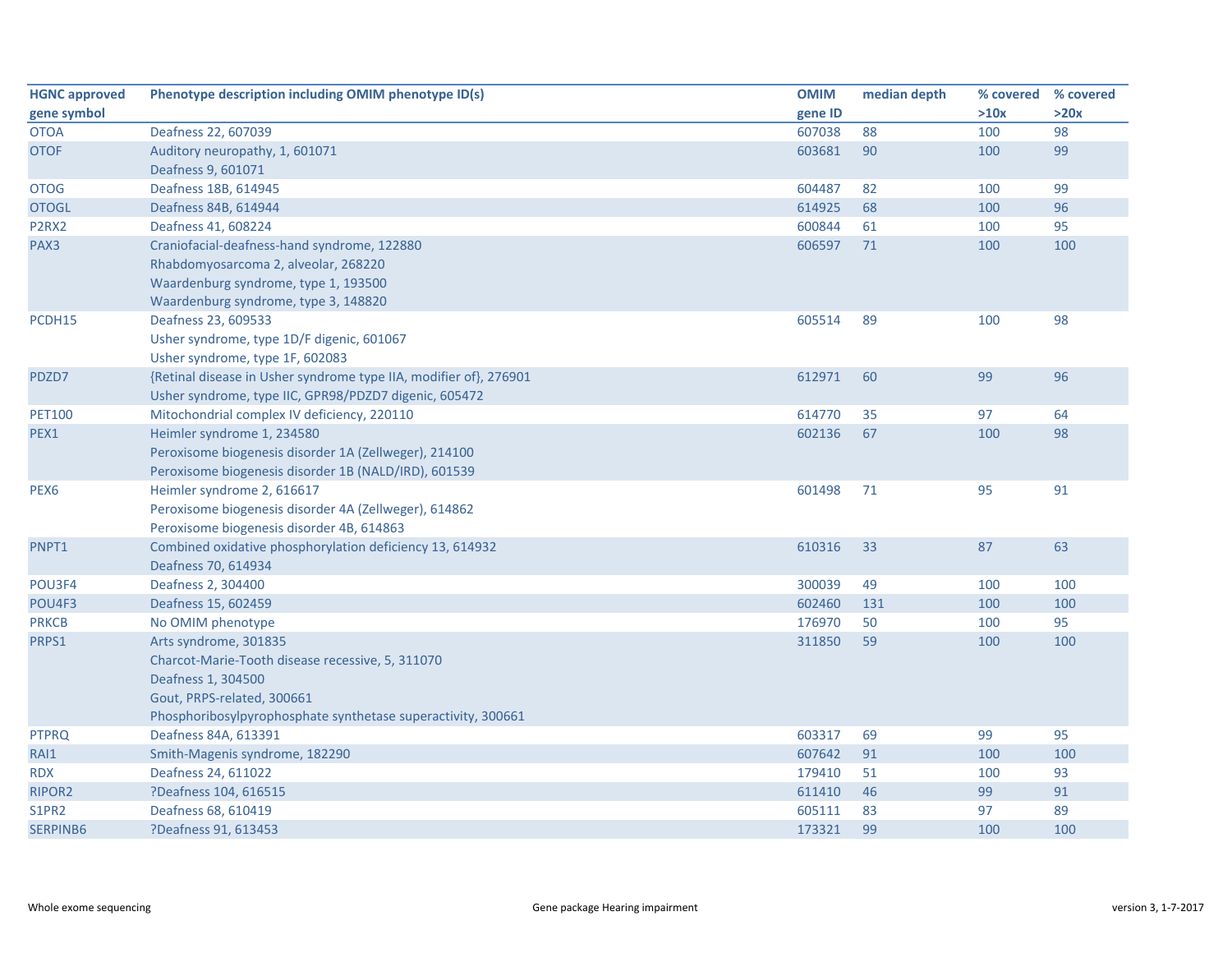| <b>HGNC approved</b>           | Phenotype description including OMIM phenotype ID(s)              | <b>OMIM</b> | median depth | % covered | % covered |
|--------------------------------|-------------------------------------------------------------------|-------------|--------------|-----------|-----------|
| gene symbol                    |                                                                   | gene ID     |              | >10x      | >20x      |
| <b>OTOA</b>                    | Deafness 22, 607039                                               | 607038      | 88           | 100       | 98        |
| <b>OTOF</b>                    | Auditory neuropathy, 1, 601071                                    | 603681      | 90           | 100       | 99        |
|                                | Deafness 9, 601071                                                |             |              |           |           |
| <b>OTOG</b>                    | Deafness 18B, 614945                                              | 604487      | 82           | 100       | 99        |
| <b>OTOGL</b>                   | Deafness 84B, 614944                                              | 614925      | 68           | 100       | 96        |
| P <sub>2</sub> R <sub>X2</sub> | Deafness 41, 608224                                               | 600844      | 61           | 100       | 95        |
| PAX3                           | Craniofacial-deafness-hand syndrome, 122880                       | 606597      | 71           | 100       | 100       |
|                                | Rhabdomyosarcoma 2, alveolar, 268220                              |             |              |           |           |
|                                | Waardenburg syndrome, type 1, 193500                              |             |              |           |           |
|                                | Waardenburg syndrome, type 3, 148820                              |             |              |           |           |
| PCDH15                         | Deafness 23, 609533                                               | 605514      | 89           | 100       | 98        |
|                                | Usher syndrome, type 1D/F digenic, 601067                         |             |              |           |           |
|                                | Usher syndrome, type 1F, 602083                                   |             |              |           |           |
| PDZD7                          | {Retinal disease in Usher syndrome type IIA, modifier of}, 276901 | 612971      | 60           | 99        | 96        |
|                                | Usher syndrome, type IIC, GPR98/PDZD7 digenic, 605472             |             |              |           |           |
| <b>PET100</b>                  | Mitochondrial complex IV deficiency, 220110                       | 614770      | 35           | 97        | 64        |
| PEX1                           | Heimler syndrome 1, 234580                                        | 602136      | 67           | 100       | 98        |
|                                | Peroxisome biogenesis disorder 1A (Zellweger), 214100             |             |              |           |           |
|                                | Peroxisome biogenesis disorder 1B (NALD/IRD), 601539              |             |              |           |           |
| PEX <sub>6</sub>               | Heimler syndrome 2, 616617                                        | 601498      | 71           | 95        | 91        |
|                                | Peroxisome biogenesis disorder 4A (Zellweger), 614862             |             |              |           |           |
|                                | Peroxisome biogenesis disorder 4B, 614863                         |             |              |           |           |
| PNPT1                          | Combined oxidative phosphorylation deficiency 13, 614932          | 610316      | 33           | 87        | 63        |
|                                | Deafness 70, 614934                                               |             |              |           |           |
| POU3F4                         | Deafness 2, 304400                                                | 300039      | 49           | 100       | 100       |
| POU4F3                         | Deafness 15, 602459                                               | 602460      | 131          | 100       | 100       |
| <b>PRKCB</b>                   | No OMIM phenotype                                                 | 176970      | 50           | 100       | 95        |
| PRPS1                          | Arts syndrome, 301835                                             | 311850      | 59           | 100       | 100       |
|                                | Charcot-Marie-Tooth disease recessive, 5, 311070                  |             |              |           |           |
|                                | Deafness 1, 304500                                                |             |              |           |           |
|                                | Gout, PRPS-related, 300661                                        |             |              |           |           |
|                                | Phosphoribosylpyrophosphate synthetase superactivity, 300661      |             |              |           |           |
| <b>PTPRQ</b>                   | Deafness 84A, 613391                                              | 603317      | 69           | 99        | 95        |
| RAI1                           | Smith-Magenis syndrome, 182290                                    | 607642      | 91           | 100       | 100       |
| <b>RDX</b>                     | Deafness 24, 611022                                               | 179410      | 51           | 100       | 93        |
| RIPOR2                         | ?Deafness 104, 616515                                             | 611410      | 46           | 99        | 91        |
| S1PR2                          | Deafness 68, 610419                                               | 605111      | 83           | 97        | 89        |
| <b>SERPINB6</b>                | ?Deafness 91, 613453                                              | 173321      | 99           | 100       | 100       |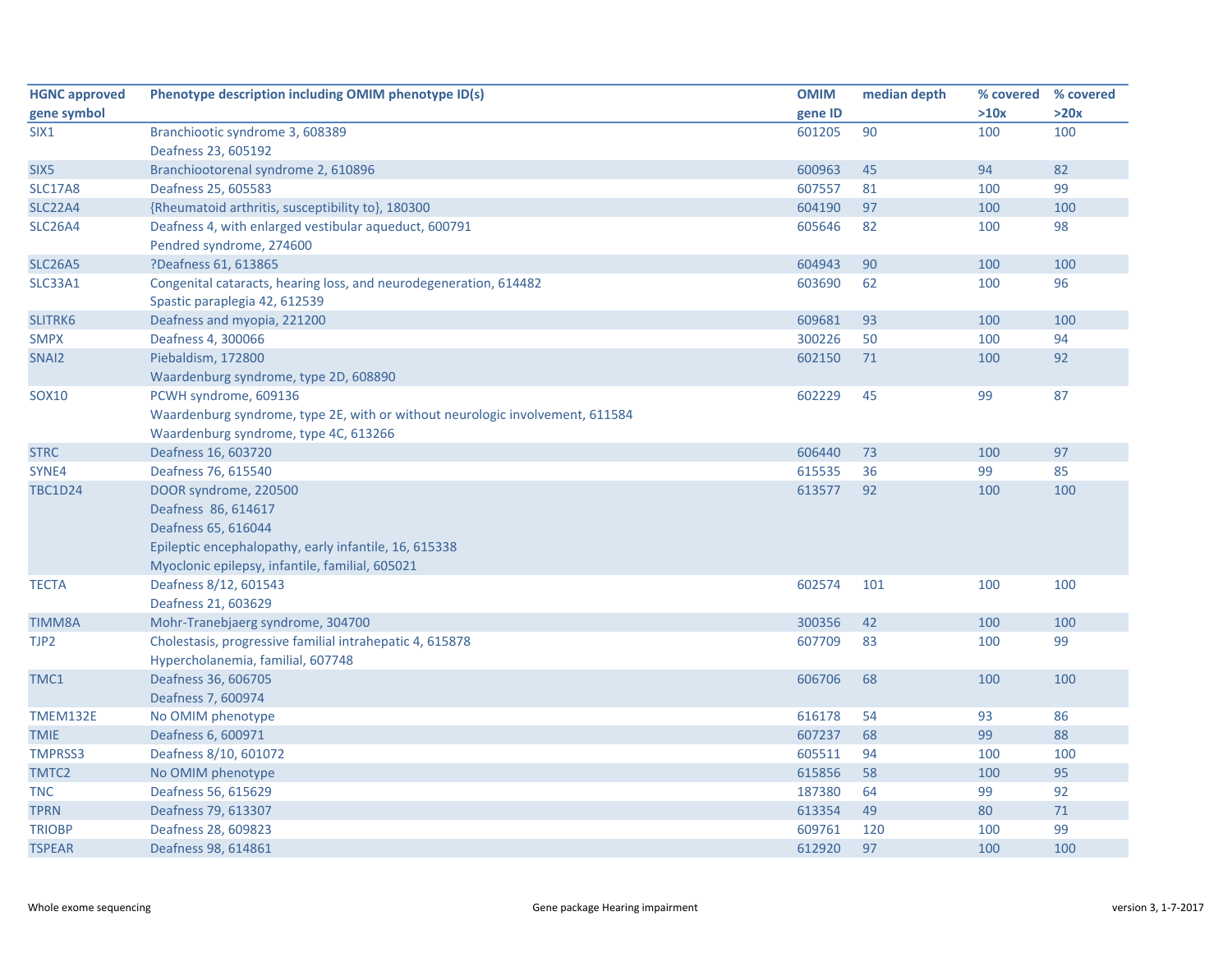| <b>HGNC approved</b> | Phenotype description including OMIM phenotype ID(s)                          | <b>OMIM</b> | median depth | % covered | % covered |
|----------------------|-------------------------------------------------------------------------------|-------------|--------------|-----------|-----------|
| gene symbol          |                                                                               | gene ID     |              | >10x      | >20x      |
| SIX <sub>1</sub>     | Branchiootic syndrome 3, 608389                                               | 601205      | 90           | 100       | 100       |
|                      | Deafness 23, 605192                                                           |             |              |           |           |
| SIX <sub>5</sub>     | Branchiootorenal syndrome 2, 610896                                           | 600963      | 45           | 94        | 82        |
| <b>SLC17A8</b>       | Deafness 25, 605583                                                           | 607557      | 81           | 100       | 99        |
| <b>SLC22A4</b>       | {Rheumatoid arthritis, susceptibility to}, 180300                             | 604190      | 97           | 100       | 100       |
| <b>SLC26A4</b>       | Deafness 4, with enlarged vestibular aqueduct, 600791                         | 605646      | 82           | 100       | 98        |
|                      | Pendred syndrome, 274600                                                      |             |              |           |           |
| <b>SLC26A5</b>       | ?Deafness 61, 613865                                                          | 604943      | 90           | 100       | 100       |
| <b>SLC33A1</b>       | Congenital cataracts, hearing loss, and neurodegeneration, 614482             | 603690      | 62           | 100       | 96        |
|                      | Spastic paraplegia 42, 612539                                                 |             |              |           |           |
| <b>SLITRK6</b>       | Deafness and myopia, 221200                                                   | 609681      | 93           | 100       | 100       |
| <b>SMPX</b>          | Deafness 4, 300066                                                            | 300226      | 50           | 100       | 94        |
| SNAI2                | Piebaldism, 172800                                                            | 602150      | 71           | 100       | 92        |
|                      | Waardenburg syndrome, type 2D, 608890                                         |             |              |           |           |
| <b>SOX10</b>         | PCWH syndrome, 609136                                                         | 602229      | 45           | 99        | 87        |
|                      | Waardenburg syndrome, type 2E, with or without neurologic involvement, 611584 |             |              |           |           |
|                      | Waardenburg syndrome, type 4C, 613266                                         |             |              |           |           |
| <b>STRC</b>          | Deafness 16, 603720                                                           | 606440      | 73           | 100       | 97        |
| SYNE4                | Deafness 76, 615540                                                           | 615535      | 36           | 99        | 85        |
| <b>TBC1D24</b>       | DOOR syndrome, 220500                                                         | 613577      | 92           | 100       | 100       |
|                      | Deafness 86, 614617                                                           |             |              |           |           |
|                      | Deafness 65, 616044                                                           |             |              |           |           |
|                      | Epileptic encephalopathy, early infantile, 16, 615338                         |             |              |           |           |
|                      | Myoclonic epilepsy, infantile, familial, 605021                               |             |              |           |           |
| <b>TECTA</b>         | Deafness 8/12, 601543                                                         | 602574      | 101          | 100       | 100       |
|                      | Deafness 21, 603629                                                           |             |              |           |           |
| <b>TIMM8A</b>        | Mohr-Tranebjaerg syndrome, 304700                                             | 300356      | 42           | 100       | 100       |
| TJP2                 | Cholestasis, progressive familial intrahepatic 4, 615878                      | 607709      | 83           | 100       | 99        |
|                      | Hypercholanemia, familial, 607748                                             |             |              |           |           |
| TMC1                 | Deafness 36, 606705                                                           | 606706      | 68           | 100       | 100       |
|                      | Deafness 7, 600974                                                            |             |              |           |           |
| <b>TMEM132E</b>      | No OMIM phenotype                                                             | 616178      | 54           | 93        | 86        |
| <b>TMIE</b>          | Deafness 6, 600971                                                            | 607237      | 68           | 99        | 88        |
| <b>TMPRSS3</b>       | Deafness 8/10, 601072                                                         | 605511      | 94           | 100       | 100       |
| TMTC2                | No OMIM phenotype                                                             | 615856      | 58           | 100       | 95        |
| <b>TNC</b>           | Deafness 56, 615629                                                           | 187380      | 64           | 99        | 92        |
| <b>TPRN</b>          | Deafness 79, 613307                                                           | 613354      | 49           | 80        | $71\,$    |
| <b>TRIOBP</b>        | Deafness 28, 609823                                                           | 609761      | 120          | 100       | 99        |
| <b>TSPEAR</b>        | Deafness 98, 614861                                                           | 612920      | 97           | 100       | 100       |